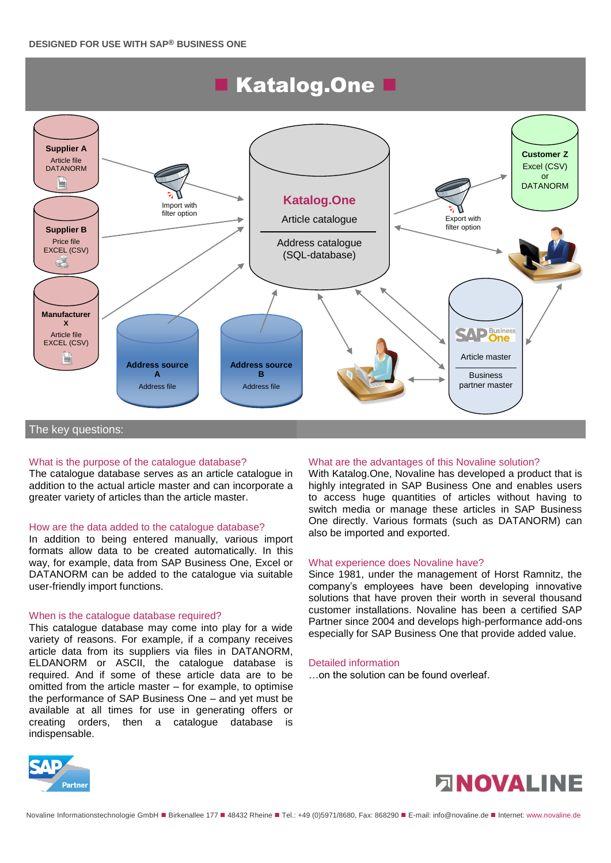# **Katalog.One B**



#### What is the purpose of the catalogue database?

The catalogue database serves as an article catalogue in addition to the actual article master and can incorporate a greater variety of articles than the article master.

#### How are the data added to the catalogue database?

In addition to being entered manually, various import formats allow data to be created automatically. In this way, for example, data from SAP Business One, Excel or DATANORM can be added to the catalogue via suitable user-friendly import functions.

#### When is the catalogue database required?

This catalogue database may come into play for a wide variety of reasons. For example, if a company receives article data from its suppliers via files in DATANORM, ELDANORM or ASCII, the catalogue database is required. And if some of these article data are to be omitted from the article master – for example, to optimise the performance of SAP Business One – and yet must be available at all times for use in generating offers or creating orders, then a catalogue database is indispensable.

#### What are the advantages of this Novaline solution?

With Katalog.One, Novaline has developed a product that is highly integrated in SAP Business One and enables users to access huge quantities of articles without having to switch media or manage these articles in SAP Business One directly. Various formats (such as DATANORM) can also be imported and exported.

#### What experience does Novaline have?

Since 1981, under the management of Horst Ramnitz, the company's employees have been developing innovative solutions that have proven their worth in several thousand customer installations. Novaline has been a certified SAP Partner since 2004 and develops high-performance add-ons especially for SAP Business One that provide added value.

#### Detailed information

…on the solution can be found overleaf.